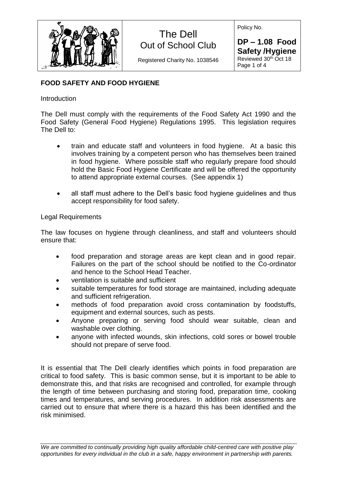

Registered Charity No. 1038546

Policy No.

**DP – 1.08 Food Safety /Hygiene** Reviewed 30th Oct 18 Page 1 of 4

### **FOOD SAFETY AND FOOD HYGIENE**

### **Introduction**

The Dell must comply with the requirements of the Food Safety Act 1990 and the Food Safety (General Food Hygiene) Regulations 1995. This legislation requires The Dell to:

- train and educate staff and volunteers in food hygiene. At a basic this involves training by a competent person who has themselves been trained in food hygiene. Where possible staff who regularly prepare food should hold the Basic Food Hygiene Certificate and will be offered the opportunity to attend appropriate external courses. (See appendix 1)
- all staff must adhere to the Dell's basic food hygiene guidelines and thus accept responsibility for food safety.

### Legal Requirements

The law focuses on hygiene through cleanliness, and staff and volunteers should ensure that:

- food preparation and storage areas are kept clean and in good repair. Failures on the part of the school should be notified to the Co-ordinator and hence to the School Head Teacher.
- ventilation is suitable and sufficient
- suitable temperatures for food storage are maintained, including adequate and sufficient refrigeration.
- methods of food preparation avoid cross contamination by foodstuffs, equipment and external sources, such as pests.
- Anyone preparing or serving food should wear suitable, clean and washable over clothing.
- anyone with infected wounds, skin infections, cold sores or bowel trouble should not prepare of serve food.

It is essential that The Dell clearly identifies which points in food preparation are critical to food safety. This is basic common sense, but it is important to be able to demonstrate this, and that risks are recognised and controlled, for example through the length of time between purchasing and storing food, preparation time, cooking times and temperatures, and serving procedures. In addition risk assessments are carried out to ensure that where there is a hazard this has been identified and the risk minimised.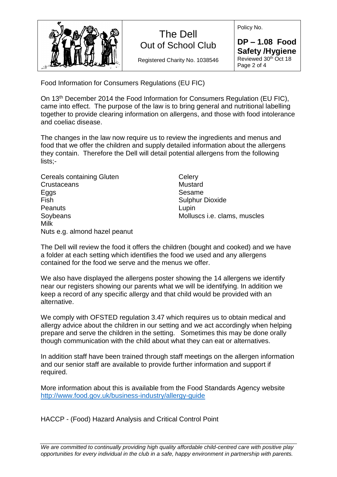

Registered Charity No. 1038546

Policy No.

**DP – 1.08 Food Safety /Hygiene** Reviewed 30th Oct 18 Page 2 of 4

Food Information for Consumers Regulations (EU FIC)

On 13th December 2014 the Food Information for Consumers Regulation (EU FIC), came into effect. The purpose of the law is to bring general and nutritional labelling together to provide clearing information on allergens, and those with food intolerance and coeliac disease.

The changes in the law now require us to review the ingredients and menus and food that we offer the children and supply detailed information about the allergens they contain. Therefore the Dell will detail potential allergens from the following lists;-

| Cereals containing Gluten     | Celery                              |
|-------------------------------|-------------------------------------|
| Crustaceans                   | Mustard                             |
| Eggs                          | Sesame                              |
| Fish                          | <b>Sulphur Dioxide</b>              |
| Peanuts                       | Lupin                               |
| Soybeans                      | Molluscs <i>i.e.</i> clams, muscles |
| Milk                          |                                     |
| Nuts e.g. almond hazel peanut |                                     |

The Dell will review the food it offers the children (bought and cooked) and we have a folder at each setting which identifies the food we used and any allergens contained for the food we serve and the menus we offer.

We also have displayed the allergens poster showing the 14 allergens we identify near our registers showing our parents what we will be identifying. In addition we keep a record of any specific allergy and that child would be provided with an alternative.

We comply with OFSTED regulation 3.47 which requires us to obtain medical and allergy advice about the children in our setting and we act accordingly when helping prepare and serve the children in the setting. Sometimes this may be done orally though communication with the child about what they can eat or alternatives.

In addition staff have been trained through staff meetings on the allergen information and our senior staff are available to provide further information and support if required.

More information about this is available from the Food Standards Agency website <http://www.food.gov.uk/business-industry/allergy-guide>

HACCP - (Food) Hazard Analysis and Critical Control Point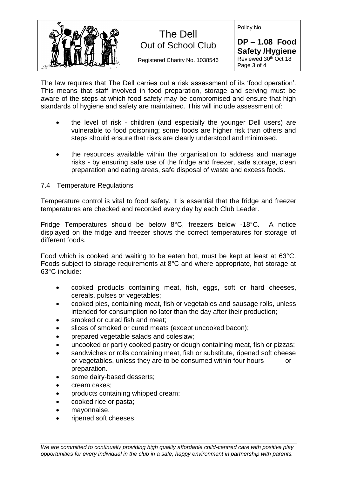

Registered Charity No. 1038546

Policy No.

**DP – 1.08 Food Safety /Hygiene** Reviewed 30th Oct 18 Page 3 of 4

The law requires that The Dell carries out a risk assessment of its 'food operation'. This means that staff involved in food preparation, storage and serving must be aware of the steps at which food safety may be compromised and ensure that high standards of hygiene and safety are maintained. This will include assessment of:

- the level of risk children (and especially the younger Dell users) are vulnerable to food poisoning; some foods are higher risk than others and steps should ensure that risks are clearly understood and minimised.
- the resources available within the organisation to address and manage risks - by ensuring safe use of the fridge and freezer, safe storage, clean preparation and eating areas, safe disposal of waste and excess foods.

#### 7.4 Temperature Regulations

Temperature control is vital to food safety. It is essential that the fridge and freezer temperatures are checked and recorded every day by each Club Leader.

Fridge Temperatures should be below 8°C, freezers below -18°C. A notice displayed on the fridge and freezer shows the correct temperatures for storage of different foods.

Food which is cooked and waiting to be eaten hot, must be kept at least at 63°C. Foods subject to storage requirements at 8°C and where appropriate, hot storage at 63°C include:

- cooked products containing meat, fish, eggs, soft or hard cheeses, cereals, pulses or vegetables;
- cooked pies, containing meat, fish or vegetables and sausage rolls, unless intended for consumption no later than the day after their production;
- smoked or cured fish and meat:
- slices of smoked or cured meats (except uncooked bacon);
- prepared vegetable salads and coleslaw;
- uncooked or partly cooked pastry or dough containing meat, fish or pizzas;
- sandwiches or rolls containing meat, fish or substitute, ripened soft cheese or vegetables, unless they are to be consumed within four hours or preparation.
- some dairy-based desserts;
- cream cakes;
- products containing whipped cream;
- cooked rice or pasta;
- mayonnaise.
- ripened soft cheeses